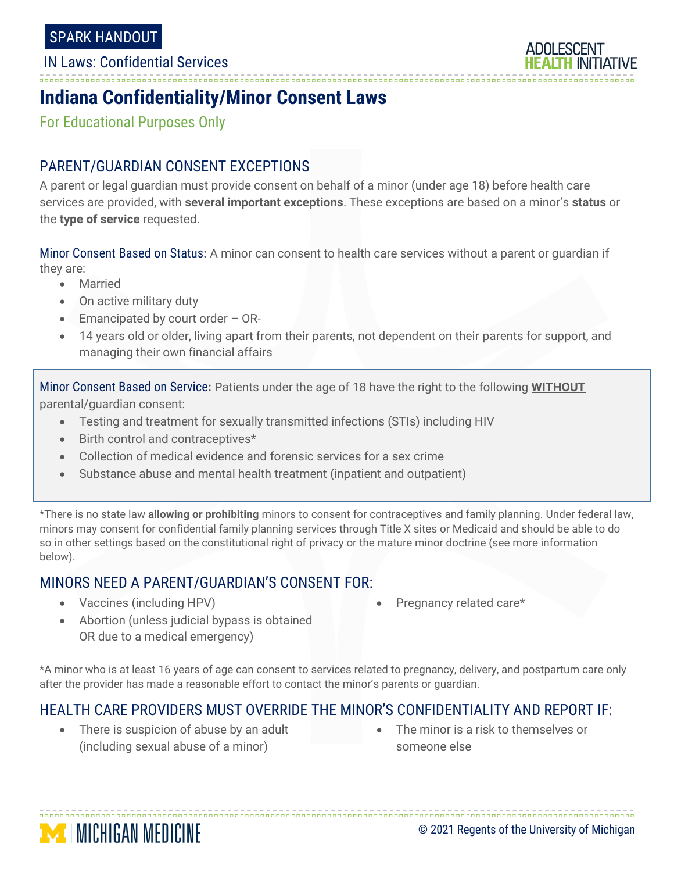--------------------

IN Laws: Confidential Services



# **Indiana Confidentiality/Minor Consent Laws**

For Educational Purposes Only

### PARENT/GUARDIAN CONSENT EXCEPTIONS

A parent or legal guardian must provide consent on behalf of a minor (under age 18) before health care services are provided, with **several important exceptions**. These exceptions are based on a minor's **status** or the **type of service** requested.

Minor Consent Based on Status**:** A minor can consent to health care services without a parent or guardian if they are:

- Married
- On active military duty
- Emancipated by court order OR-
- 14 years old or older, living apart from their parents, not dependent on their parents for support, and managing their own financial affairs

Minor Consent Based on Service**:** Patients under the age of 18 have the right to the following **WITHOUT** parental/guardian consent:

- Testing and treatment for sexually transmitted infections (STIs) including HIV
- Birth control and contraceptives\*
- Collection of medical evidence and forensic services for a sex crime
- Substance abuse and mental health treatment (inpatient and outpatient)

\*There is no state law **allowing or prohibiting** minors to consent for contraceptives and family planning. Under federal law, minors may consent for confidential family planning services through Title X sites or Medicaid and should be able to do so in other settings based on the constitutional right of privacy or the mature minor doctrine (see more information below).

### MINORS NEED A PARENT/GUARDIAN'S CONSENT FOR:

• Vaccines (including HPV)

Pregnancy related care\*

• Abortion (unless judicial bypass is obtained OR due to a medical emergency)

\*A minor who is at least 16 years of age can consent to services related to pregnancy, delivery, and postpartum care only after the provider has made a reasonable effort to contact the minor's parents or guardian.

### HEALTH CARE PROVIDERS MUST OVERRIDE THE MINOR'S CONFIDENTIALITY AND REPORT IF:

- There is suspicion of abuse by an adult (including sexual abuse of a minor)
- The minor is a risk to themselves or someone else